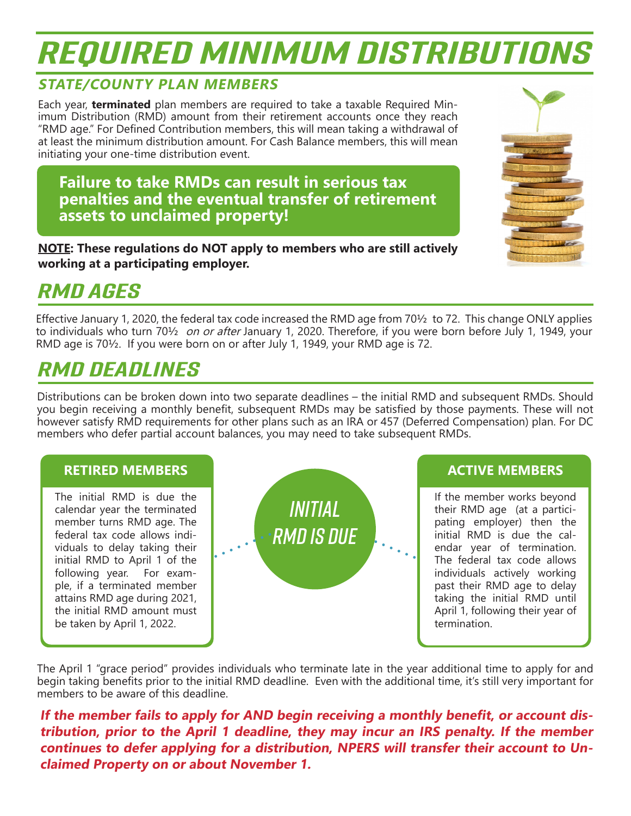# *REQUIRED MINIMUM DISTRIBUTIONS*

#### **STATE/COUNTY PLAN MEMBERS**

Each year, **terminated** plan members are required to take a taxable Required Minimum Distribution (RMD) amount from their retirement accounts once they reach "RMD age." For Defined Contribution members, this will mean taking a withdrawal of at least the minimum distribution amount. For Cash Balance members, this will mean initiating your one-time distribution event.

**Failure to take RMDs can result in serious tax penalties and the eventual transfer of retirement assets to unclaimed property!** 

**NOTE: These regulations do NOT apply to members who are still actively working at a participating employer.**



#### *RMD AGES*

Effective January 1, 2020, the federal tax code increased the RMD age from 70½ to 72. This change ONLY applies to individuals who turn 70½ on or after January 1, 2020. Therefore, if you were born before July 1, 1949, your RMD age is 70½. If you were born on or after July 1, 1949, your RMD age is 72.

### *RMD DEADLINES*

Distributions can be broken down into two separate deadlines – the initial RMD and subsequent RMDs. Should you begin receiving a monthly benefit, subsequent RMDs may be satisfied by those payments. These will not however satisfy RMD requirements for other plans such as an IRA or 457 (Deferred Compensation) plan. For DC members who defer partial account balances, you may need to take subsequent RMDs.



The April 1 "grace period" provides individuals who terminate late in the year additional time to apply for and begin taking benefits prior to the initial RMD deadline. Even with the additional time, it's still very important for members to be aware of this deadline.

**If the member fails to apply for AND begin receiving a monthly benefit, or account distribution, prior to the April 1 deadline, they may incur an IRS penalty. If the member continues to defer applying for a distribution, NPERS will transfer their account to Unclaimed Property on or about November 1.**